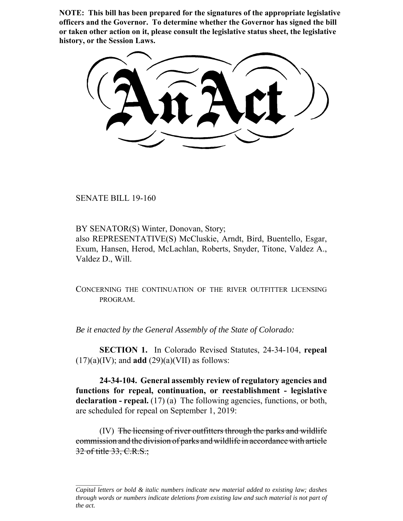**NOTE: This bill has been prepared for the signatures of the appropriate legislative officers and the Governor. To determine whether the Governor has signed the bill or taken other action on it, please consult the legislative status sheet, the legislative history, or the Session Laws.**

SENATE BILL 19-160

BY SENATOR(S) Winter, Donovan, Story; also REPRESENTATIVE(S) McCluskie, Arndt, Bird, Buentello, Esgar, Exum, Hansen, Herod, McLachlan, Roberts, Snyder, Titone, Valdez A., Valdez D., Will.

CONCERNING THE CONTINUATION OF THE RIVER OUTFITTER LICENSING PROGRAM.

*Be it enacted by the General Assembly of the State of Colorado:*

**SECTION 1.** In Colorado Revised Statutes, 24-34-104, **repeal**  $(17)(a)(IV)$ ; and **add**  $(29)(a)(VII)$  as follows:

**24-34-104. General assembly review of regulatory agencies and functions for repeal, continuation, or reestablishment - legislative** declaration - repeal. (17) (a) The following agencies, functions, or both, are scheduled for repeal on September 1, 2019:

(IV) The licensing of river outfitters through the parks and wildlife commission and the division of parks and wildlife in accordance with article 32 of title 33, C.R.S.;

*Capital letters or bold & italic numbers indicate new material added to existing law; dashes through words or numbers indicate deletions from existing law and such material is not part of the act.*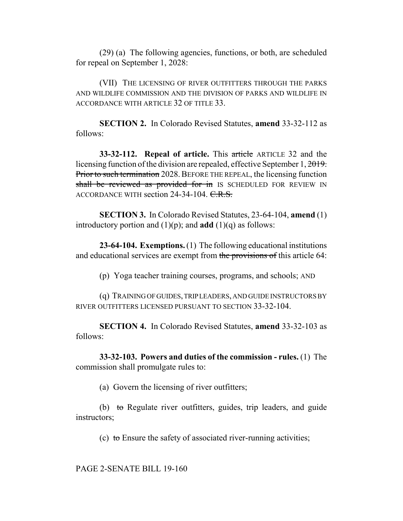(29) (a) The following agencies, functions, or both, are scheduled for repeal on September 1, 2028:

(VII) THE LICENSING OF RIVER OUTFITTERS THROUGH THE PARKS AND WILDLIFE COMMISSION AND THE DIVISION OF PARKS AND WILDLIFE IN ACCORDANCE WITH ARTICLE 32 OF TITLE 33.

**SECTION 2.** In Colorado Revised Statutes, **amend** 33-32-112 as follows:

**33-32-112. Repeal of article.** This article ARTICLE 32 and the licensing function of the division are repealed, effective September 1, 2019. Prior to such termination 2028. BEFORE THE REPEAL, the licensing function shall be reviewed as provided for in IS SCHEDULED FOR REVIEW IN ACCORDANCE WITH section  $24-34-104$ . C.R.S.

**SECTION 3.** In Colorado Revised Statutes, 23-64-104, **amend** (1) introductory portion and  $(1)(p)$ ; and **add**  $(1)(q)$  as follows:

**23-64-104. Exemptions.** (1) The following educational institutions and educational services are exempt from the provisions of this article 64:

(p) Yoga teacher training courses, programs, and schools; AND

(q) TRAINING OF GUIDES, TRIP LEADERS, AND GUIDE INSTRUCTORS BY RIVER OUTFITTERS LICENSED PURSUANT TO SECTION 33-32-104.

**SECTION 4.** In Colorado Revised Statutes, **amend** 33-32-103 as follows:

**33-32-103. Powers and duties of the commission - rules.** (1) The commission shall promulgate rules to:

(a) Govern the licensing of river outfitters;

(b) to Regulate river outfitters, guides, trip leaders, and guide instructors;

(c) to Ensure the safety of associated river-running activities;

PAGE 2-SENATE BILL 19-160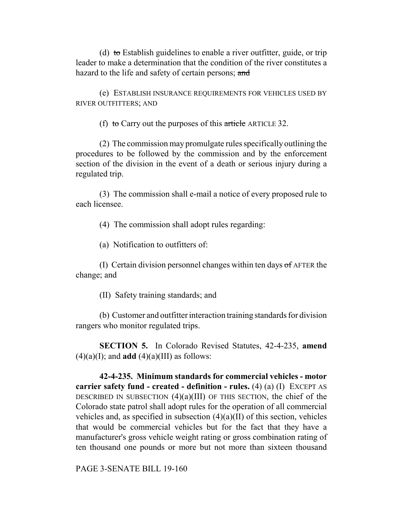(d) to Establish guidelines to enable a river outfitter, guide, or trip leader to make a determination that the condition of the river constitutes a hazard to the life and safety of certain persons; and

(e) ESTABLISH INSURANCE REQUIREMENTS FOR VEHICLES USED BY RIVER OUTFITTERS; AND

(f) to Carry out the purposes of this article ARTICLE 32.

(2) The commission may promulgate rules specifically outlining the procedures to be followed by the commission and by the enforcement section of the division in the event of a death or serious injury during a regulated trip.

(3) The commission shall e-mail a notice of every proposed rule to each licensee.

(4) The commission shall adopt rules regarding:

(a) Notification to outfitters of:

(I) Certain division personnel changes within ten days  $\sigma$  f AFTER the change; and

(II) Safety training standards; and

(b) Customer and outfitter interaction training standards for division rangers who monitor regulated trips.

**SECTION 5.** In Colorado Revised Statutes, 42-4-235, **amend**  $(4)(a)(I)$ ; and **add**  $(4)(a)(III)$  as follows:

**42-4-235. Minimum standards for commercial vehicles - motor carrier safety fund - created - definition - rules.** (4) (a) (I) EXCEPT AS DESCRIBED IN SUBSECTION  $(4)(a)(III)$  OF THIS SECTION, the chief of the Colorado state patrol shall adopt rules for the operation of all commercial vehicles and, as specified in subsection  $(4)(a)(II)$  of this section, vehicles that would be commercial vehicles but for the fact that they have a manufacturer's gross vehicle weight rating or gross combination rating of ten thousand one pounds or more but not more than sixteen thousand

PAGE 3-SENATE BILL 19-160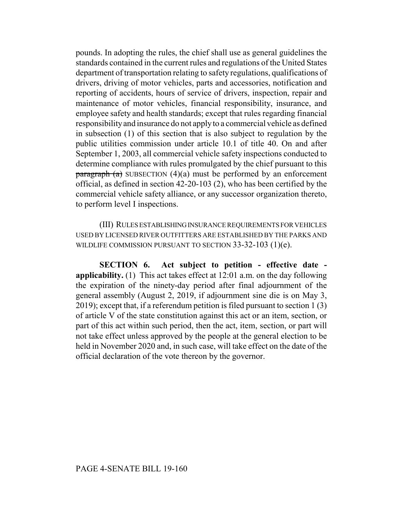pounds. In adopting the rules, the chief shall use as general guidelines the standards contained in the current rules and regulations of the United States department of transportation relating to safety regulations, qualifications of drivers, driving of motor vehicles, parts and accessories, notification and reporting of accidents, hours of service of drivers, inspection, repair and maintenance of motor vehicles, financial responsibility, insurance, and employee safety and health standards; except that rules regarding financial responsibility and insurance do not apply to a commercial vehicle as defined in subsection (1) of this section that is also subject to regulation by the public utilities commission under article 10.1 of title 40. On and after September 1, 2003, all commercial vehicle safety inspections conducted to determine compliance with rules promulgated by the chief pursuant to this paragraph  $(a)$  SUBSECTION  $(4)(a)$  must be performed by an enforcement official, as defined in section 42-20-103 (2), who has been certified by the commercial vehicle safety alliance, or any successor organization thereto, to perform level I inspections.

(III) RULES ESTABLISHING INSURANCE REQUIREMENTS FOR VEHICLES USED BY LICENSED RIVER OUTFITTERS ARE ESTABLISHED BY THE PARKS AND WILDLIFE COMMISSION PURSUANT TO SECTION 33-32-103 (1)(e).

**SECTION 6. Act subject to petition - effective date applicability.** (1) This act takes effect at 12:01 a.m. on the day following the expiration of the ninety-day period after final adjournment of the general assembly (August 2, 2019, if adjournment sine die is on May 3, 2019); except that, if a referendum petition is filed pursuant to section 1 (3) of article V of the state constitution against this act or an item, section, or part of this act within such period, then the act, item, section, or part will not take effect unless approved by the people at the general election to be held in November 2020 and, in such case, will take effect on the date of the official declaration of the vote thereon by the governor.